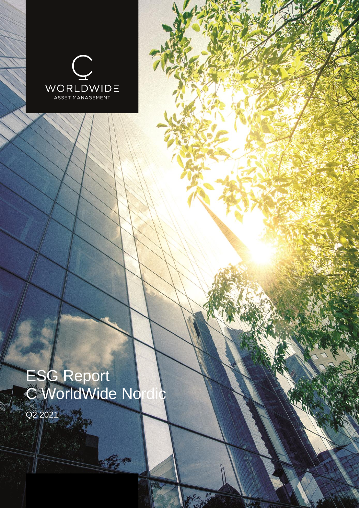

# ESG Report C WorldWide Nordic

Contractor

Q2 2021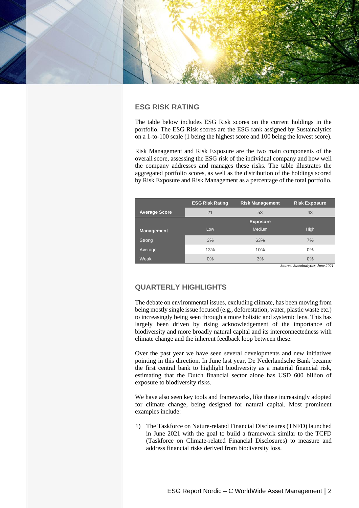

# **ESG RISK RATING**

The table below includes ESG Risk scores on the current holdings in the portfolio. The ESG Risk scores are the ESG rank assigned by Sustainalytics on a 1-to-100 scale (1 being the highest score and 100 being the lowest score).

Risk Management and Risk Exposure are the two main components of the overall score, assessing the ESG risk of the individual company and how well the company addresses and manages these risks. The table illustrates the aggregated portfolio scores, as well as the distribution of the holdings scored by Risk Exposure and Risk Management as a percentage of the total portfolio.

|                      | <b>ESG Risk Rating</b> | <b>Risk Management</b> | <b>Risk Exposure</b> |  |  |
|----------------------|------------------------|------------------------|----------------------|--|--|
| <b>Average Score</b> | 21                     | 53                     | 43                   |  |  |
|                      |                        | <b>Exposure</b>        |                      |  |  |
| <b>Management</b>    | Low                    | <b>Medium</b>          | <b>High</b>          |  |  |
| Strong               | 3%                     | 63%                    | 7%                   |  |  |
| Average              | 13%                    | 10%                    | 0%                   |  |  |
| Weak                 | 0%                     | 3%                     | 0%                   |  |  |

*Source: Sustainalytics, June 2021*

# **QUARTERLY HIGHLIGHTS**

The debate on environmental issues, excluding climate, has been moving from being mostly single issue focused (e.g., deforestation, water, plastic waste etc.) to increasingly being seen through a more holistic and systemic lens. This has largely been driven by rising acknowledgement of the importance of biodiversity and more broadly natural capital and its interconnectedness with climate change and the inherent feedback loop between these.

Over the past year we have seen several developments and new initiatives pointing in this direction. In June last year, De Nederlandsche Bank became the first central bank to highlight biodiversity as a material financial risk, estimating that the Dutch financial sector alone has USD 600 billion of exposure to biodiversity risks.

We have also seen key tools and frameworks, like those increasingly adopted for climate change, being designed for natural capital. Most prominent examples include:

1) The Taskforce on Nature-related Financial Disclosures (TNFD) launched in June 2021 with the goal to build a framework similar to the TCFD (Taskforce on Climate-related Financial Disclosures) to measure and address financial risks derived from biodiversity loss.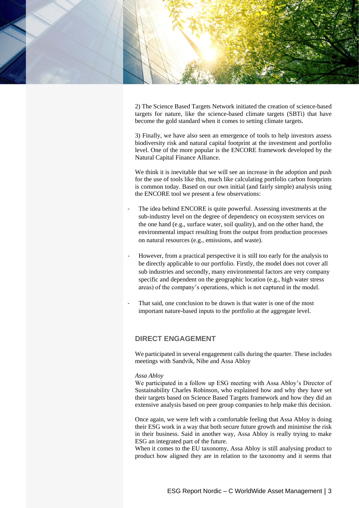

2) The Science Based Targets Network initiated the creation of science-based targets for nature, like the science-based climate targets (SBTi) that have become the gold standard when it comes to setting climate targets.

3) Finally, we have also seen an emergence of tools to help investors assess biodiversity risk and natural capital footprint at the investment and portfolio level. One of the more popular is the ENCORE framework developed by the Natural Capital Finance Alliance.

We think it is inevitable that we will see an increase in the adoption and push for the use of tools like this, much like calculating portfolio carbon footprints is common today. Based on our own initial (and fairly simple) analysis using the ENCORE tool we present a few observations:

- The idea behind ENCORE is quite powerful. Assessing investments at the sub-industry level on the degree of dependency on ecosystem services on the one hand (e.g., surface water, soil quality), and on the other hand, the environmental impact resulting from the output from production processes on natural resources (e.g., emissions, and waste).
- However, from a practical perspective it is still too early for the analysis to be directly applicable to our portfolio. Firstly, the model does not cover all sub industries and secondly, many environmental factors are very company specific and dependent on the geographic location (e.g., high water stress areas) of the company's operations, which is not captured in the model.
- That said, one conclusion to be drawn is that water is one of the most important nature-based inputs to the portfolio at the aggregate level.

# **DIRECT ENGAGEMENT**

We participated in several engagement calls during the quarter. These includes meetings with Sandvik, Nibe and Assa Abloy

#### *Assa Abloy*

We participated in a follow up ESG meeting with Assa Abloy's Director of Sustainability Charles Robinson, who explained how and why they have set their targets based on Science Based Targets framework and how they did an extensive analysis based on peer group companies to help make this decision.

Once again, we were left with a comfortable feeling that Assa Abloy is doing their ESG work in a way that both secure future growth and minimise the risk in their business. Said in another way, Assa Abloy is really trying to make ESG an integrated part of the future.

When it comes to the EU taxonomy, Assa Abloy is still analysing product to product how aligned they are in relation to the taxonomy and it seems that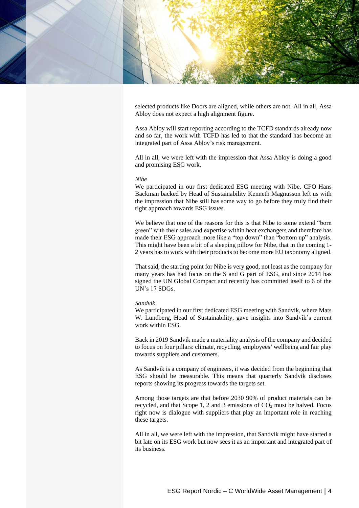

selected products like Doors are aligned, while others are not. All in all, Assa Abloy does not expect a high alignment figure.

Assa Abloy will start reporting according to the TCFD standards already now and so far, the work with TCFD has led to that the standard has become an integrated part of Assa Abloy's risk management.

All in all, we were left with the impression that Assa Abloy is doing a good and promising ESG work.

#### *Nibe*

We participated in our first dedicated ESG meeting with Nibe. CFO Hans Backman backed by Head of Sustainability Kenneth Magnusson left us with the impression that Nibe still has some way to go before they truly find their right approach towards ESG issues.

We believe that one of the reasons for this is that Nibe to some extend "born green" with their sales and expertise within heat exchangers and therefore has made their ESG approach more like a "top down" than "bottom up" analysis. This might have been a bit of a sleeping pillow for Nibe, that in the coming 1- 2 years has to work with their products to become more EU taxonomy aligned.

That said, the starting point for Nibe is very good, not least as the company for many years has had focus on the S and G part of ESG, and since 2014 has signed the UN Global Compact and recently has committed itself to 6 of the UN's 17 SDGs.

#### *Sandvik*

We participated in our first dedicated ESG meeting with Sandvik, where Mats W. Lundberg, Head of Sustainability, gave insights into Sandvik's current work within ESG.

Back in 2019 Sandvik made a materiality analysis of the company and decided to focus on four pillars: climate, recycling, employees' wellbeing and fair play towards suppliers and customers.

As Sandvik is a company of engineers, it was decided from the beginning that ESG should be measurable. This means that quarterly Sandvik discloses reports showing its progress towards the targets set.

Among those targets are that before 2030 90% of product materials can be recycled, and that Scope 1, 2 and 3 emissions of  $CO<sub>2</sub>$  must be halved. Focus right now is dialogue with suppliers that play an important role in reaching these targets.

All in all, we were left with the impression, that Sandvik might have started a bit late on its ESG work but now sees it as an important and integrated part of its business.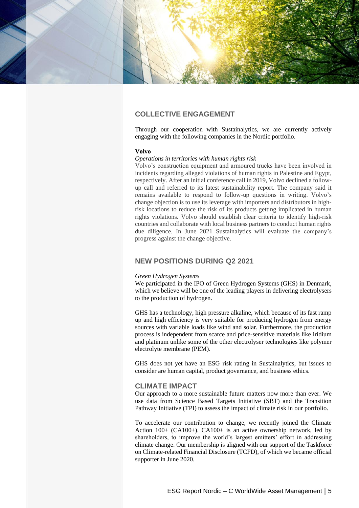

# **COLLECTIVE ENGAGEMENT**

Through our cooperation with Sustainalytics, we are currently actively engaging with the following companies in the Nordic portfolio.

#### **Volvo**

#### *Operations in territories with human rights risk*

Volvo's construction equipment and armoured trucks have been involved in incidents regarding alleged violations of human rights in Palestine and Egypt, respectively. After an initial conference call in 2019, Volvo declined a followup call and referred to its latest sustainability report. The company said it remains available to respond to follow-up questions in writing. Volvo's change objection is to use its leverage with importers and distributors in highrisk locations to reduce the risk of its products getting implicated in human rights violations. Volvo should establish clear criteria to identify high-risk countries and collaborate with local business partners to conduct human rights due diligence. In June 2021 Sustainalytics will evaluate the company's progress against the change objective.

## **NEW POSITIONS DURING Q2 2021**

#### *Green Hydrogen Systems*

We participated in the IPO of Green Hydrogen Systems (GHS) in Denmark, which we believe will be one of the leading players in delivering electrolysers to the production of hydrogen.

GHS has a technology, high pressure alkaline, which because of its fast ramp up and high efficiency is very suitable for producing hydrogen from energy sources with variable loads like wind and solar. Furthermore, the production process is independent from scarce and price-sensitive materials like iridium and platinum unlike some of the other electrolyser technologies like polymer electrolyte membrane (PEM).

GHS does not yet have an ESG risk rating in Sustainalytics, but issues to consider are human capital, product governance, and business ethics.

#### **CLIMATE IMPACT**

Our approach to a more sustainable future matters now more than ever. We use data from Science Based Targets Initiative (SBT) and the Transition Pathway Initiative (TPI) to assess the impact of climate risk in our portfolio.

To accelerate our contribution to change, we recently joined the Climate Action 100+ (CA100+). CA100+ is an active ownership network, led by shareholders, to improve the world's largest emitters' effort in addressing climate change. Our membership is aligned with our support of the Taskforce on Climate-related Financial Disclosure (TCFD), of which we became official supporter in June 2020.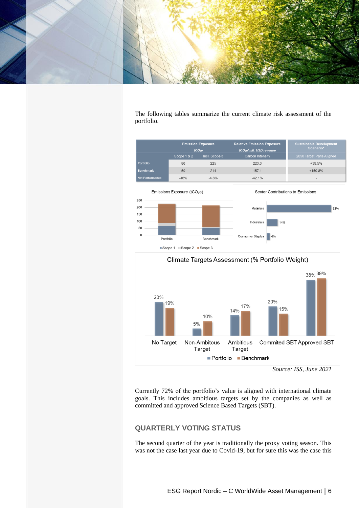

The following tables summarize the current climate risk assessment of the portfolio.





*Source: ISS, June 2021*

Currently 72% of the portfolio's value is aligned with international climate goals. This includes ambitious targets set by the companies as well as committed and approved Science Based Targets (SBT).

# **QUARTERLY VOTING STATUS**

The second quarter of the year is traditionally the proxy voting season. This was not the case last year due to Covid-19, but for sure this was the case this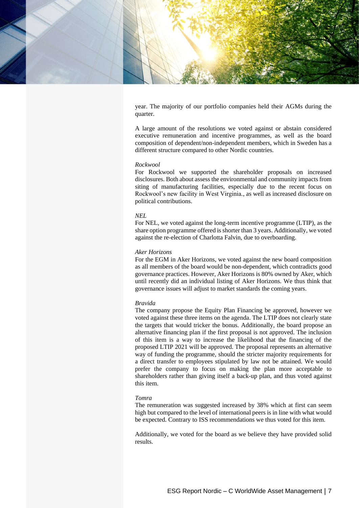

year. The majority of our portfolio companies held their AGMs during the quarter.

A large amount of the resolutions we voted against or abstain considered executive remuneration and incentive programmes, as well as the board composition of dependent/non-independent members, which in Sweden has a different structure compared to other Nordic countries.

#### *Rockwool*

For Rockwool we supported the shareholder proposals on increased disclosures. Both about assess the environmental and community impacts from siting of manufacturing facilities, especially due to the recent focus on Rockwool's new facility in West Virginia., as well as increased disclosure on political contributions.

### *NEL*

For NEL, we voted against the long-term incentive programme (LTIP), as the share option programme offered is shorter than 3 years. Additionally, we voted against the re-election of Charlotta Falvin, due to overboarding.

#### *Aker Horizons*

For the EGM in Aker Horizons, we voted against the new board composition as all members of the board would be non-dependent, which contradicts good governance practices. However, Aker Horizons is 80% owned by Aker, which until recently did an individual listing of Aker Horizons. We thus think that governance issues will adjust to market standards the coming years.

#### *Bravida*

The company propose the Equity Plan Financing be approved, however we voted against these three items on the agenda. The LTIP does not clearly state the targets that would tricker the bonus. Additionally, the board propose an alternative financing plan if the first proposal is not approved. The inclusion of this item is a way to increase the likelihood that the financing of the proposed LTIP 2021 will be approved. The proposal represents an alternative way of funding the programme, should the stricter majority requirements for a direct transfer to employees stipulated by law not be attained. We would prefer the company to focus on making the plan more acceptable to shareholders rather than giving itself a back-up plan, and thus voted against this item.

#### *Tomra*

The remuneration was suggested increased by 38% which at first can seem high but compared to the level of international peers is in line with what would be expected. Contrary to ISS recommendations we thus voted for this item.

Additionally, we voted for the board as we believe they have provided solid results.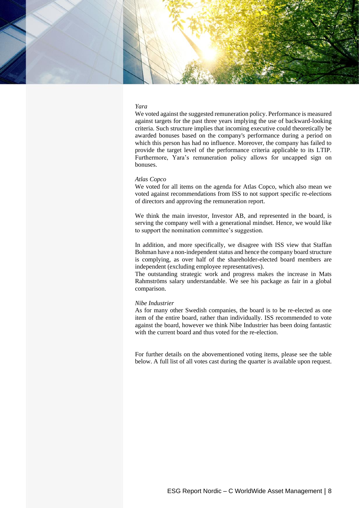

#### *Yara*

We voted against the suggested remuneration policy. Performance is measured against targets for the past three years implying the use of backward-looking criteria. Such structure implies that incoming executive could theoretically be awarded bonuses based on the company's performance during a period on which this person has had no influence. Moreover, the company has failed to provide the target level of the performance criteria applicable to its LTIP. Furthermore, Yara's remuneration policy allows for uncapped sign on bonuses.

#### *Atlas Copco*

We voted for all items on the agenda for Atlas Copco, which also mean we voted against recommendations from ISS to not support specific re-elections of directors and approving the remuneration report.

We think the main investor, Investor AB, and represented in the board, is serving the company well with a generational mindset. Hence, we would like to support the nomination committee's suggestion.

In addition, and more specifically, we disagree with ISS view that Staffan Bohman have a non-independent status and hence the company board structure is complying, as over half of the shareholder-elected board members are independent (excluding employee representatives).

The outstanding strategic work and progress makes the increase in Mats Rahmströms salary understandable. We see his package as fair in a global comparison.

#### *Nibe Industrier*

As for many other Swedish companies, the board is to be re-elected as one item of the entire board, rather than individually. ISS recommended to vote against the board, however we think Nibe Industrier has been doing fantastic with the current board and thus voted for the re-election.

For further details on the abovementioned voting items, please see the table below. A full list of all votes cast during the quarter is available upon request.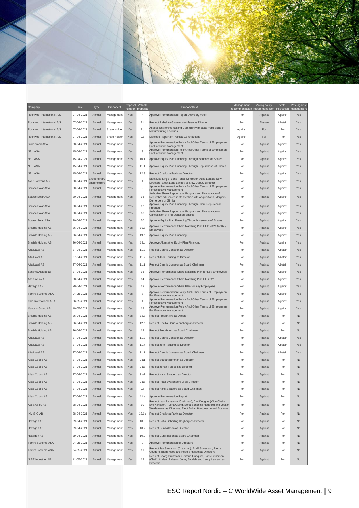

| Company                    | Date       | Type                          | Proponent    | Proposal Votable<br>number | proposal          | Proposal text                                                                                                                                                                                 | Management | Voting policy<br>recommendation recommendation instruction management | Vote    | Vote against |
|----------------------------|------------|-------------------------------|--------------|----------------------------|-------------------|-----------------------------------------------------------------------------------------------------------------------------------------------------------------------------------------------|------------|-----------------------------------------------------------------------|---------|--------------|
| Rockwool International A/S | 07-04-2021 | Annual                        | Management   | Yes                        | 4                 | Approve Remuneration Report (Advisory Vote)                                                                                                                                                   | For        | Against                                                               | Against | Yes          |
| Rockwool International A/S | 07-04-2021 | Annual                        | Management   | Yes                        | 7.b               | Reelect Rebekka Glasser Herlofsen as Director                                                                                                                                                 | For        | Abstain                                                               | Abstain | Yes          |
| Rockwool International A/S | 07-04-2021 | Annual                        | Share Holder | Yes                        | 9.d               | Assess Environmental and Community Impacts from Siting of<br><b>Manufacturing Facilities</b>                                                                                                  | Against    | For                                                                   | For     | Yes          |
| Rockwool International A/S | 07-04-2021 | Annual                        | Share Holder | Yes                        | 9.e               | Disclose Report on Political Contributions                                                                                                                                                    | Against    | For                                                                   | For     | Yes          |
| Storebrand ASA             | 08-04-2021 | Annual                        | Management   | Yes                        | 8                 | Approve Remuneration Policy And Other Terms of Employment<br>For Executive Management                                                                                                         | For        | Against                                                               | Against | Yes          |
| <b>NEL ASA</b>             | 15-04-2021 | Annual                        | Management   | Yes                        | 9                 | Approve Remuneration Policy And Other Terms of Employment<br>For Executive Management                                                                                                         | For        | Against                                                               | Against | Yes          |
| <b>NEL ASA</b>             | 15-04-2021 | Annual                        | Management   | Yes                        | 10.1              | Approve Equity Plan Financing Through Issuance of Shares                                                                                                                                      | For        | Against                                                               | Against | Yes          |
| <b>NEL ASA</b>             | 15-04-2021 | Annual                        | Management   | Yes                        | 11.1              | Approve Equity Plan Financing Through Repurchase of Shares                                                                                                                                    | For        | Against                                                               | Against | Yes          |
| <b>NEL ASA</b>             | 15-04-2021 | Annual                        | Management   | Yes                        | 12.3              | Reelect Charlotta Falvin as Director                                                                                                                                                          | For        | Against                                                               | Against | Yes          |
| Aker Horizons AS           | 20-04-2021 | Extraordinary<br>Shareholders | Management   | Yes                        | $\overline{4}$    | Elect Lise Kingo, Lone Fonss Schroder, Auke Lont as New<br>Directors; Elect Lene Landoy as New Deputy Director                                                                                | For        | Against                                                               | Against | Yes          |
| Scatec Solar ASA           | 20-04-2021 | Annual                        | Management   | Yes                        | 9                 | Approve Remuneration Policy And Other Terms of Employment<br>For Executive Management                                                                                                         | For        | Against                                                               | Against | Yes          |
| Scatec Solar ASA           | 20-04-2021 | Annual                        | Management   | Yes                        | 16                | Authorize Share Repurchase Program and Reissuance of<br>Repurchased Shares in Connection with Acquisitions, Mergers,                                                                          | For        | Against                                                               | Against | Yes          |
|                            |            |                               |              |                            |                   | Demergers or Similar<br>Approve Equity Plan Financing Through Share Repurchase                                                                                                                |            |                                                                       |         |              |
| Scatec Solar ASA           | 20-04-2021 | Annual                        | Management   | Yes                        | 17                | Program<br>Authorize Share Repurchase Program and Reissuance or                                                                                                                               | For        | Against                                                               | Against | Yes          |
| Scatec Solar ASA           | 20-04-2021 | Annual                        | Management   | Yes                        | 18                | Cancellation of Repurchased Shares                                                                                                                                                            | For        | Against                                                               | Against | Yes          |
| Scatec Solar ASA           | 20-04-2021 | Annual                        | Management   | Yes                        | 20                | Approve Equity Plan Financing Through Issuance of Shares<br>Approve Performance Share Matching Plan LTIP 2021 for Key                                                                         | For        | Against                                                               | Against | Yes          |
| <b>Bravida Holding AB</b>  | 26-04-2021 | Annual                        | Management   | Yes                        | 19.a              | Employees                                                                                                                                                                                     | For        | Against                                                               | Against | Yes          |
| <b>Bravida Holding AB</b>  | 26-04-2021 | Annual                        | Management   | Yes                        | 19.b              | Approve Equity Plan Financing                                                                                                                                                                 | For        | Against                                                               | Against | Yes          |
| Bravida Holding AB         | 26-04-2021 | Annual                        | Management   | Yes                        | 19.c              | Approve Alternative Equity Plan Financing                                                                                                                                                     | For        | Against                                                               | Against | Yes          |
| Alfa Laval AB              | 27-04-2021 | Annual                        | Management   | Yes                        | 11.2              | Reelect Dennis Jonsson as Director                                                                                                                                                            | For        | Against                                                               | Abstain | Yes          |
| Alfa Laval AB              | 27-04-2021 | Annual                        | Management   | Yes                        | 11.7              | Reelect Jorn Rausing as Director                                                                                                                                                              | For        | Against                                                               | Abstain | Yes          |
| Alfa Laval AB              | 27-04-2021 | Annual                        | Management   | Yes                        | 11.1              | Reelect Dennis Jonsson as Board Chairman                                                                                                                                                      | For        | Against                                                               | Abstain | Yes          |
| Sandvik Aktiebolag         | 27-04-2021 | Annual                        | Management   | Yes                        | 16                | Approve Performance Share Matching Plan for Key Employees                                                                                                                                     | For        | Against                                                               | Against | Yes          |
| Assa Abloy AB              | 28-04-2021 | Annual                        | Management   | Yes                        | 14                | Approve Performance Share Matching Plan LTI 2021                                                                                                                                              | For        | Against                                                               | Against | Yes          |
| Hexagon AB                 | 29-04-2021 | Annual                        | Management   | Yes                        | 13                | Approve Performance Share Plan for Key Employees                                                                                                                                              | For        | Against                                                               | Against | Yes          |
| Tomra Systems ASA          | 04-05-2021 | Annual                        | Management   | Yes                        | 7                 | Approve Remuneration Policy And Other Terms of Employment<br>For Executive Management                                                                                                         | For        | Against                                                               | Against | Yes          |
| Yara International ASA     | 06-05-2021 | Annual                        | Management   | Yes                        | 4                 | Approve Remuneration Policy And Other Terms of Employment<br>For Executive Management                                                                                                         | For        | Against                                                               | Against | Yes          |
| Munters Group AB           | 19-05-2021 | Annual                        | Management   | Yes                        | 18                | Approve Remuneration Policy And Other Terms of Employment<br>For Executive Management                                                                                                         | For        | Against                                                               | Against | Yes          |
| Bravida Holding AB         | 26-04-2021 | Annual                        | Management   | Yes                        | 12.a              | Reelect Fredrik Arp as Director                                                                                                                                                               | For        | Against                                                               | For     | No           |
| Bravida Holding AB         | 26-04-2021 | Annual                        | Management   | Yes                        | 12.b              | Reelect Cecilia Daun Wennborg as Director                                                                                                                                                     | For        | Against                                                               | For     | No           |
| Bravida Holding AB         | 26-04-2021 | Annual                        | Management   | Yes                        | 13                | Reelect Fredrik Arp as Board Chairman                                                                                                                                                         | For        | Against                                                               | For     | No           |
| Alfa Laval AB              | 27-04-2021 | Annual                        | Management   | Yes                        | 11.2              | Reelect Dennis Jonsson as Director                                                                                                                                                            | For        | Against                                                               | Abstain | Yes          |
| Alfa Laval AB              | 27-04-2021 | Annual                        | Management   | Yes                        | 11.7              | Reelect Jorn Rausing as Director                                                                                                                                                              | For        | Against                                                               | Abstain | Yes          |
| Alfa Laval AB              | 27-04-2021 | Annual                        | Management   | Yes                        | 11.1              | Reelect Dennis Jonsson as Board Chairman                                                                                                                                                      | For        | Against                                                               | Abstain | Yes          |
| Atlas Copco AB             | 27-04-2021 | Annual                        | Management   | Yes                        | 9.a1              | Reelect Staffan Bohman as Director                                                                                                                                                            | For        | Against                                                               | For     | No           |
| Atlas Copco AB             | 27-04-2021 | Annual                        | Management   | Yes                        | 9.a3              | Reelect Johan Forssell as Director                                                                                                                                                            | For        | Against                                                               | For     | <b>No</b>    |
| <b>Atlas Copco AB</b>      | 27-04-2021 | Annual                        | Management   | Yes                        | 9.a7              | Reelect Hans Straberg as Director                                                                                                                                                             | For        | Against                                                               | For     | No           |
| Atlas Copco AB             | 27-04-2021 | Annual                        | Management   | Yes                        | 9.a8              | Reelect Peter Wallenberg Jr as Director                                                                                                                                                       | For        | Against                                                               | For     | No           |
| Atlas Copco AB             | 27-04-2021 | Annual                        | Management   | Yes                        | 9.b               | Reelect Hans Straberg as Board Chairman                                                                                                                                                       | For        | Against                                                               | For     | No           |
| Atlas Copco AB             | 27-04-2021 | Annual                        | Management   | Yes                        | 11.a              | Approve Remuneration Report                                                                                                                                                                   | For        | Against                                                               | For     | No           |
| Assa Abloy AB              | 28-04-2021 | Annual                        | Management   | Yes                        | 10                | Reelect Lars Renstrom (Chairman), Carl Douglas (Vice Chair),<br>Eva Karlsson, , Lena Olving, Sofia Schorling Hogberg and Joakim                                                               | For        | Against                                                               | For     | No           |
| <b>INVISIO AB</b>          | 28-04-2021 | Annual                        | Management   | Yes                        | 12.1 <sub>b</sub> | Weidemanis as Directors; Elect Johan Hiertonsson and Susanne<br>Reelect Charlotta Falvin as Director                                                                                          | For        | Against                                                               | For     | No           |
| Hexagon AB                 | 29-04-2021 | Annual                        | Management   | Yes                        | 10.3              | Reelect Sofia Schorling Hogberg as Director                                                                                                                                                   | For        | Against                                                               | For     | No           |
| Hexagon AB                 | 29-04-2021 | Annual                        | Management   | Yes                        | 10.7              | Reelect Gun Nilsson as Director                                                                                                                                                               | For        | Against                                                               | For     | No           |
| Hexagon AB                 | 29-04-2021 | Annual                        | Management   | Yes                        | 10.9              | Reelect Gun Nilsson as Board Chairman                                                                                                                                                         | For        | Against                                                               | For     | No           |
| Tomra Systems ASA          | 04-05-2021 | Annual                        | Management   | Yes                        | $9\,$             | Approve Remuneration of Directors                                                                                                                                                             | For        | Against                                                               | For     | No           |
| Tomra Systems ASA          | 04-05-2021 | Annual                        | Management   | Yes                        | 11                | Reelect Jan Svensson (Chairman), Bodil Sonesson, Pierre                                                                                                                                       | For        | Against                                                               | For     | No           |
| NIBE Industrier AB         | 11-05-2021 | Annual                        | Management   | Yes                        | 12                | Couderc, Bjorn Matre and Hege Skryseth as Directors<br>Reelect Georg Brunstam, Gerteric Lindquist, Hans Linnarson<br>(Chair), Anders Palsson, Jenny Sjodahl and Jenny Larsson as<br>Directors | For        | Against                                                               | For     | No           |